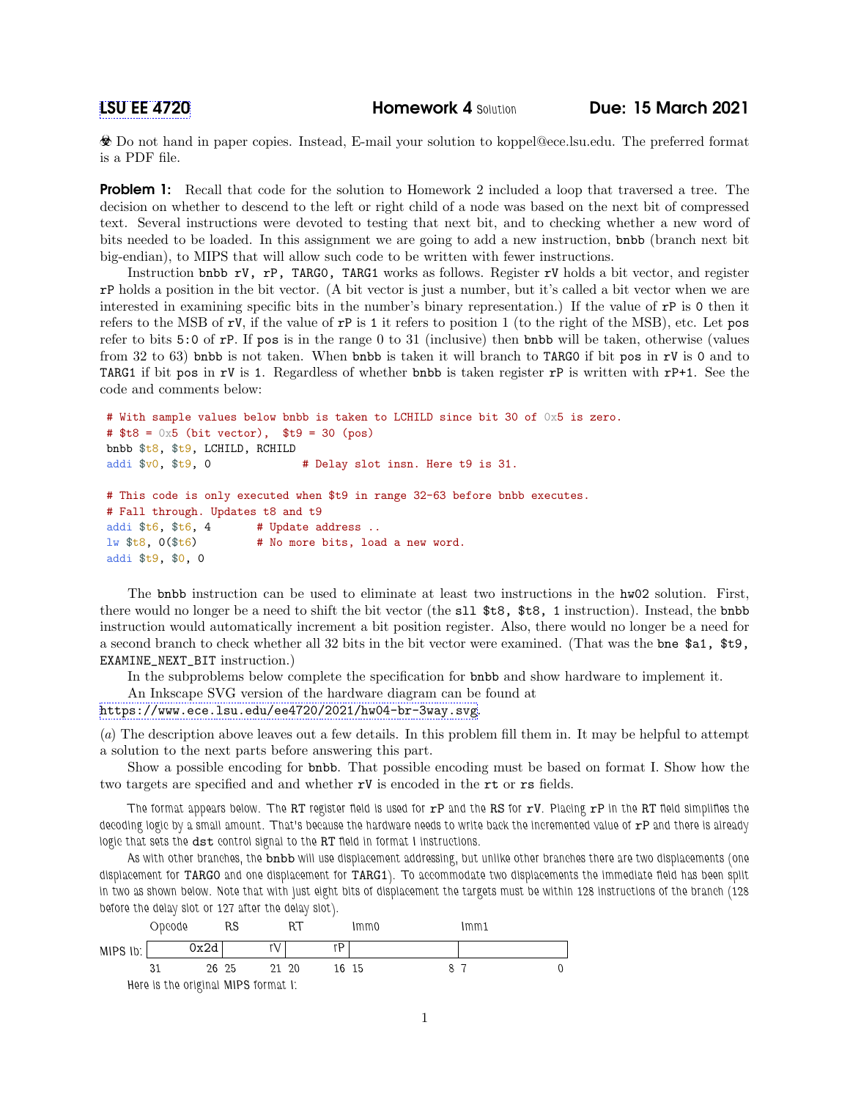Do not hand in paper copies. Instead, E-mail your solution to koppel@ece.lsu.edu. The preferred format is a PDF file.

**Problem 1:** Recall that code for the solution to Homework 2 included a loop that traversed a tree. The decision on whether to descend to the left or right child of a node was based on the next bit of compressed text. Several instructions were devoted to testing that next bit, and to checking whether a new word of bits needed to be loaded. In this assignment we are going to add a new instruction, bnbb (branch next bit big-endian), to MIPS that will allow such code to be written with fewer instructions.

Instruction bnbb rV, rP, TARG0, TARG1 works as follows. Register rV holds a bit vector, and register rP holds a position in the bit vector. (A bit vector is just a number, but it's called a bit vector when we are interested in examining specific bits in the number's binary representation.) If the value of rP is 0 then it refers to the MSB of rV, if the value of rP is 1 it refers to position 1 (to the right of the MSB), etc. Let pos refer to bits 5:0 of rP. If pos is in the range 0 to 31 (inclusive) then bnbb will be taken, otherwise (values from 32 to 63) bnbb is not taken. When bnbb is taken it will branch to TARG0 if bit pos in rV is 0 and to TARG1 if bit pos in rV is 1. Regardless of whether bnbb is taken register  $rP$  is written with  $rP+1$ . See the code and comments below:

```
# With sample values below bnbb is taken to LCHILD since bit 30 of 0x5 is zero.
# t8 = 0x5 (bit vector), t9 = 30 (pos)
bnbb $t8, $t9, LCHILD, RCHILD
addi $v0, $t9, 0 # Delay slot insn. Here t9 is 31.
# This code is only executed when $t9 in range 32-63 before bnbb executes.
# Fall through. Updates t8 and t9
addi t_6, t_6, t_6, t_7 # Update address ..
lw t8, 0 (t6) t Mo more bits, load a new word.
addi $t9, $0, 0
```
The bnbb instruction can be used to eliminate at least two instructions in the hw02 solution. First, there would no longer be a need to shift the bit vector (the sll \$t8, \$t8, 1 instruction). Instead, the bnbb instruction would automatically increment a bit position register. Also, there would no longer be a need for a second branch to check whether all 32 bits in the bit vector were examined. (That was the bne \$a1, \$t9, EXAMINE\_NEXT\_BIT instruction.)

In the subproblems below complete the specification for bnbb and show hardware to implement it.

An Inkscape SVG version of the hardware diagram can be found at

```
https://www.ece.lsu.edu/ee4720/2021/hw04-br-3way.svg.
```
(a) The description above leaves out a few details. In this problem fill them in. It may be helpful to attempt a solution to the next parts before answering this part.

Show a possible encoding for bnbb. That possible encoding must be based on format I. Show how the two targets are specified and and whether rV is encoded in the rt or rs fields.

The format appears below. The RT register field is used for  $rP$  and the RS for  $rV$ . Placing  $rP$  in the RT field simplifies the decoding logic by a small amount. That's because the hardware needs to write back the incremented value of rP and there is already logic that sets the dst control signal to the RT field in format I instructions.

As with other branches, the bnbb will use displacement addressing, but unlike other branches there are two displacements (one displacement for TARG0 and one displacement for TARG1). To accommodate two displacements the immediate field has been split in two as shown below. Note that with just eight bits of displacement the targets must be within 128 instructions of the branch (128 before the delay slot or 127 after the delay slot).

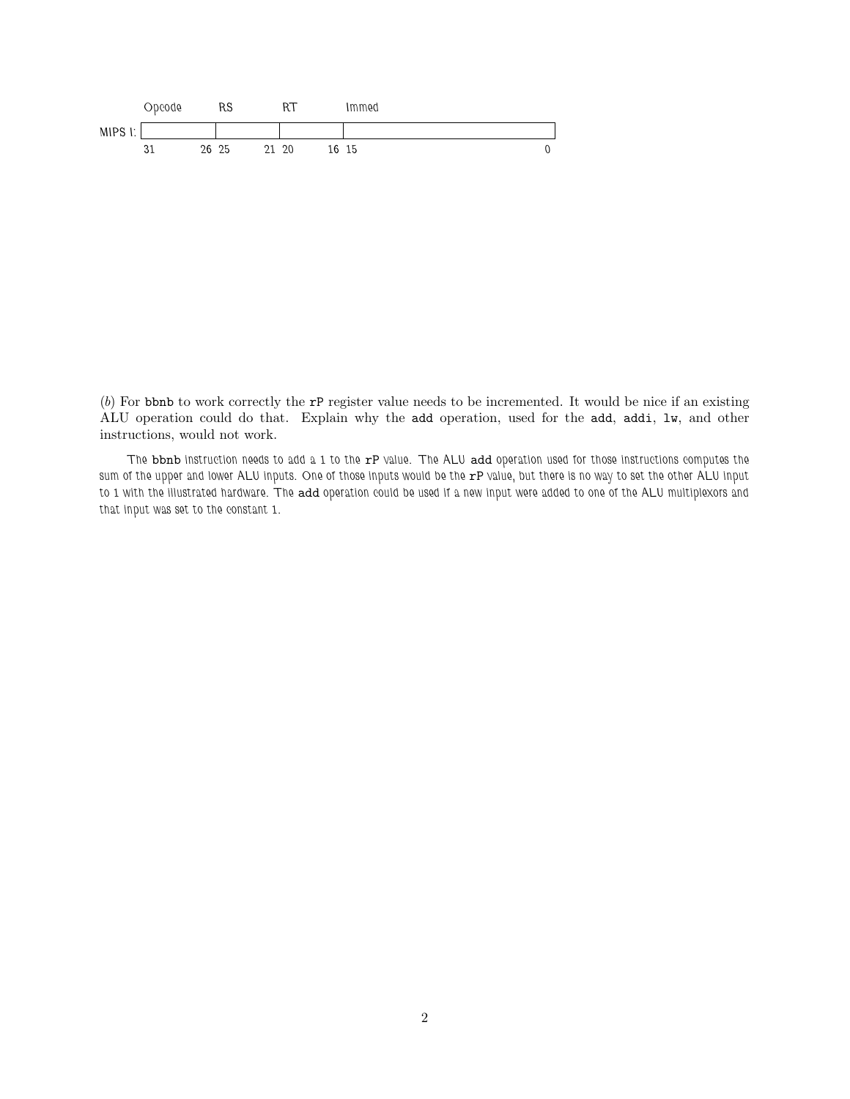

(b) For bbnb to work correctly the rP register value needs to be incremented. It would be nice if an existing ALU operation could do that. Explain why the add operation, used for the add, addi, lw, and other instructions, would not work.

The bbnb instruction needs to add a 1 to the rP value. The ALU add operation used for those instructions computes the sum of the upper and lower ALU inputs. One of those inputs would be the rP value, but there is no way to set the other ALU input to 1 with the illustrated hardware. The add operation could be used if a new input were added to one of the ALU multiplexors and that input was set to the constant 1.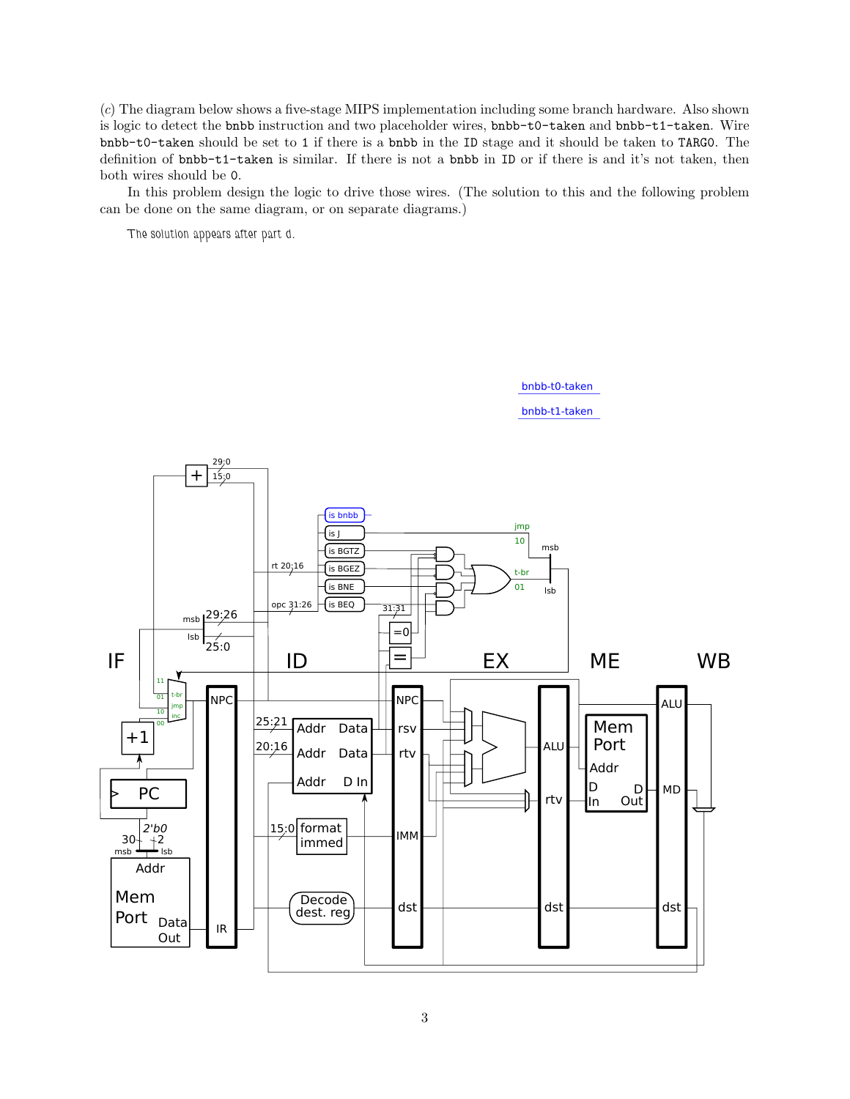(c) The diagram below shows a five-stage MIPS implementation including some branch hardware. Also shown is logic to detect the bnbb instruction and two placeholder wires, bnbb-t0-taken and bnbb-t1-taken. Wire bnbb-t0-taken should be set to 1 if there is a bnbb in the ID stage and it should be taken to TARG0. The definition of bnbb-t1-taken is similar. If there is not a bnbb in ID or if there is and it's not taken, then both wires should be 0.

In this problem design the logic to drive those wires. (The solution to this and the following problem can be done on the same diagram, or on separate diagrams.)

The solution appears after part d.



bnbb-t1-taken

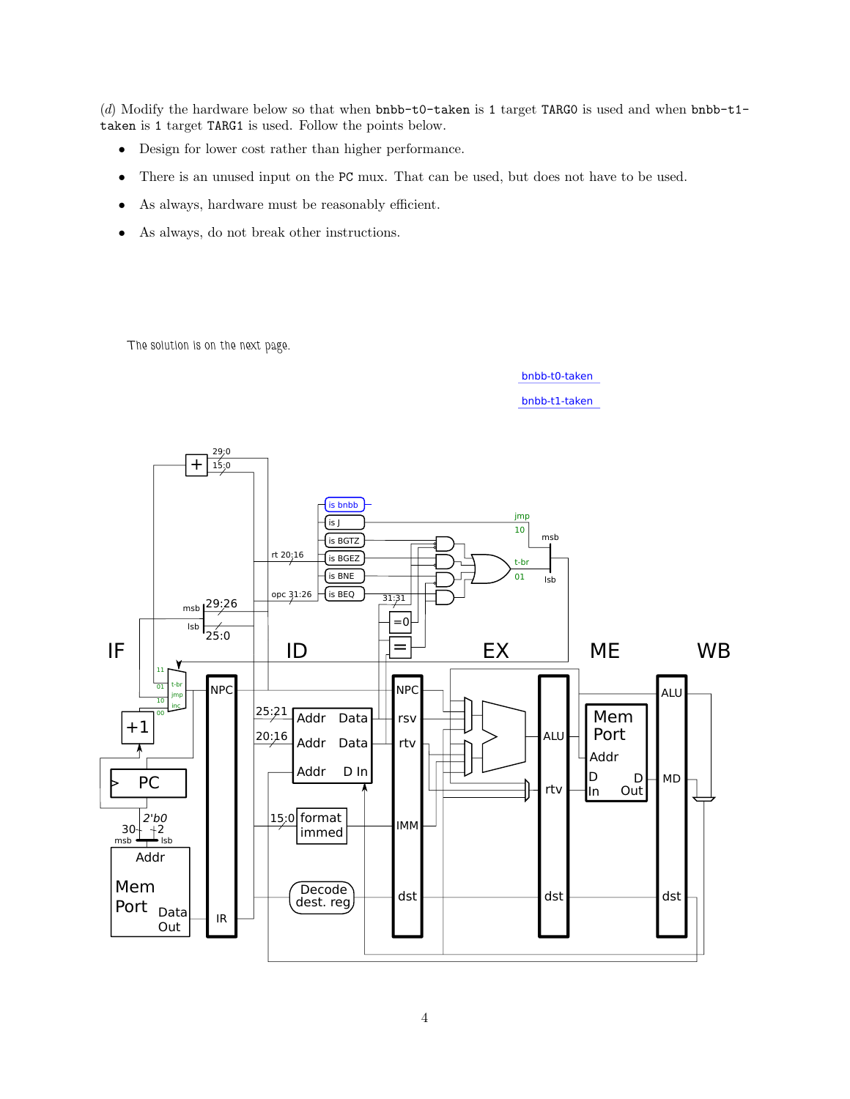(d) Modify the hardware below so that when bnbb-t0-taken is 1 target TARG0 is used and when bnbb-t1 taken is 1 target TARG1 is used. Follow the points below.

- Design for lower cost rather than higher performance.
- There is an unused input on the PC mux. That can be used, but does not have to be used.
- As always, hardware must be reasonably efficient.
- As always, do not break other instructions.

The solution is on the next page.